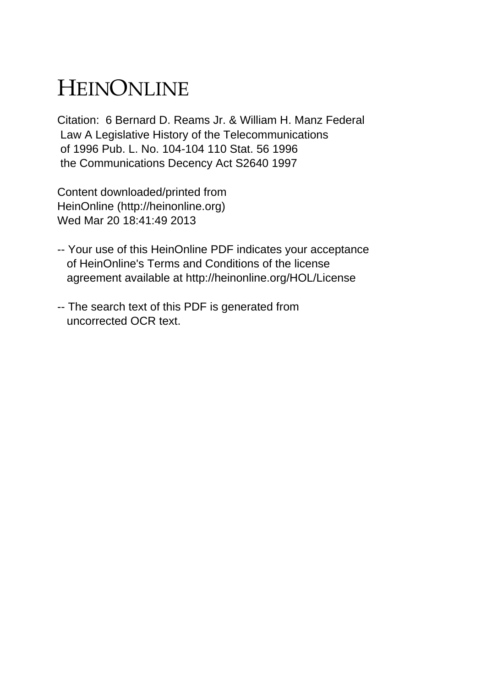# HEINONLINE

Citation: 6 Bernard D. Reams Jr. & William H. Manz Federal Law A Legislative History of the Telecommunications of 1996 Pub. L. No. 104-104 110 Stat. 56 1996 the Communications Decency Act S2640 1997

Content downloaded/printed from HeinOnline (http://heinonline.org) Wed Mar 20 18:41:49 2013

- -- Your use of this HeinOnline PDF indicates your acceptance of HeinOnline's Terms and Conditions of the license agreement available at http://heinonline.org/HOL/License
- -- The search text of this PDF is generated from uncorrected OCR text.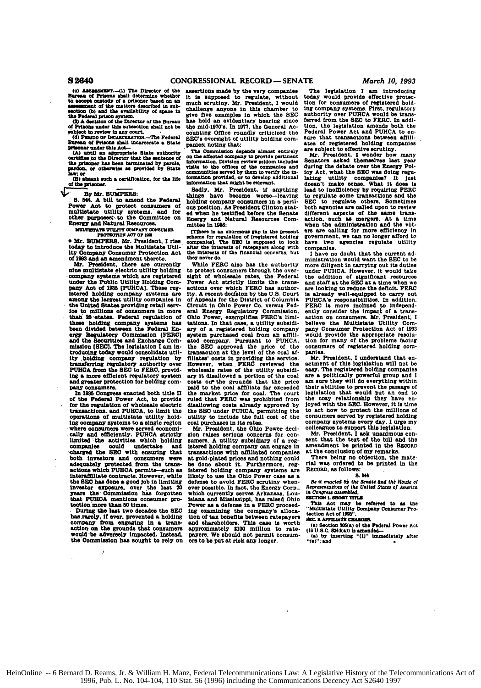(c) ARSESSMENT....(1) The Director of the Bureau of Prisons and desired in section and the model to accept control the matter described in subsetsment of the matter described in subsets as section (b) and the realishbilit

subject to review in any court.<br>
(d) PERIOD OF INCARERATION....The Federal Bureau of Prisons shall incar<br>
oration is State prisons and incare-<br>
oration and this action of the section of the section of the section<br>
(A) unti

**(B)** absent such a certification, for the life of the prisoner.

**. By Mr. BUMPERS: 8. 544.** A bill to amend the Federal multistate utility systems, and for other purposes; to the Committee on Energy and Natural Resources.

## **KULTISTATE UTLITY COMPANY CONSUMER PROTECTION ACT OF 1998**

**0** Mr. **BUMPERS.** Mr. President. I **rise** ity Company Consumer Protection Act of 1993 and an amendment thereto.<br>Mr. President, there are currently

nine multistate electric utility holding company systems which are registered under the **Public** Utility Holding **Com-Pang Aot** of **1986 PUHCA).** These registered holding company systems are **smong** the largest utility companies in the United States providing retail serv- **ce** to millions of consumers in more than" 20 **,stats.** Federal regulation of these **holding** company systems has been divided between the Federal **En-** ergy Regulatory Commission **[FERC]** and the Securities **and** Exchange Com- mission **(SEC. The** legislation I am **In**troducing today would consolidate utile Ity .holding company regulation **by** transferring regulatory authority over **PUHCA from** the **SEC** to **FERO.** providing **a** more efficient regulatory system and greater protection for holding com**pany** consumers. In **1938** Congress enacted both **title I3**

of the Federal Power Act, to provide for the regulation of wholesale electric transactions, and **PUHCA,** to limit the operations of multistate utility hold-Ing company systems to **a** single region where consumers were served economi-cally and efficiently. **PUHCA** strictly limited -the activities which holding companies could undertake and charged the **SEC** with ensuring that both investors and consumers were<br>adequately protected from the transactions which PUHCA permite--such as<br>interaffiliate contracts. However, while the SEC has done a good job in limiting Investor exposure, over the last 20 **year** the Commission has forgotten that **PURCA** mentions consumer pro- toction more than **50** times.

During the last two decades the **SEC** has rarely, if ever, prevented a holding **company** from engaging in a **trans**company from engaging in a transaction on the grounds that consumers would be adversely impacted. Instead, the Commission **has** sought to rely on

assertions made **by** the very companies It is **supposed** to regulate, without much scrutiny. Mr. President, **I** would challenge anyone in this chamber to give five **examples** in which the **SEC has** held an evidentiary hearing since the **mid-1970's.** In **1977,** the General **Ac-** counting Office roundly criticized the **SEC's** oversight of utility holding companies; noting that:<br>The Commission depends almost entirely

The commutation oppears almost our<br>particular contract our conduction. Information. Division review seldom includes<br>visits to the offices of the companies and<br>communities served by them to verify the information provided,

**Sadly.** Mr. President, **If** anything things have become worse--leaving holding company consumers In a peril**ons** position. **As** President Clinton stated when he testified before the Senate Energy and Natural Resources Committee in **196:**

rlhere **is** an enormous **gap** in the present scheme for regulation **of** [registered holding companiesl. **The SEC** is supposed to look **after** the interests **of** ratepayers along with the interests **of** the financial concerns. but they never do.

While FERC also has the authority protect consumers through the overto protect consumers through the over-<br>sight of wholesale rates, the Federal<br>Power Act strictly limits the trans-<br>actions over which **FERC** has authority. **A** recent decision **by** the **U.S. Court** of Appeals for the District of Columbia eral Energy Regulatory Commission, Ohio Power, exemplifies FERC's limi-Ohio Power, exemplifies FERC'8 **limi-** tations. In that case, a utility subsidiary **of** a registered holding company **system purchased Coa1 from at affiliated company. Pursuant** to **PUHCA.** the **SEC** approved the price of the transaction at the level of the coal **af**filiates' costs in providing the service.<br>However, when FERO reviewed the wholesale rates of the utility subsidiary It disallowed a portion of the coal cost. **on** the grounds that the price **paid** to the coal affiliate far exceeded the market price for coal. The court ruled that FERC was prohibited from disallowing costs already approved **by** the **SEC** under **PUHCA.** permitting the utility to include the full cost of the utility to include the full cost of the coal purchases in its rates.

Mr. President, the Ohio Power **deci**sion raises serious concerns for consumers. A utility subsidiary of a reg-<br>istered holding company can engage in<br>transactions with affiliated companies at gold-plated prices and nothing could be done about it. Furthermore. registered holding company systems are **likely** to use the Ohio Power case as **<sup>a</sup>** ever possible. In fact, the Energy Corp.. which currently serves Arkansas, Louisiana and Mississippi, has raised Ohio Power as a defense in **a** FER proceed-**Ing** examining the company's allocaand shareholders. This case is worth approximately \$100 million to rateapproximately **8100** million **to** rate- payers. We should not permit consumers to be put at risk any longer.

The legislation **I** am Introducing **today would** provide effective protection for consumers **of** registered hold-**Ing** company systems. First. regulatory authority over **PUHCA** would **be** trans-ferred from the **SEC** to FERC. **In addi**tion, the **legislation** amends both the Federal Power Act and PUHCA to ensure that transactions between affiliates of registered holding companies are subject to effective scrutiny.

are subject to effective scrutiny. Mr. President, I wonder how many Senators **asked** themselves last year during the debate over the Energy Pol- icy Act, what the **SEC** was doing regulating utility companies? It just doesn't make sense. What it does is doesn't make sense. What It does **it lead** to Inefficiency **by** requiring **FERC** to regulate some transactions and the **SEC** to **regulate** others. Sometimes both agencies **are** called upon to review different aspects of the same transaction, such as mergers. At a time when the administration and the vote ers are calling for more efficiency in government, we can no longer afford to have two agencies regulate utility companies.

**I** have no doubt that the current **ad-**ministration would want the **SEC** to be more diligent in carrying out **its** duties under PUHCA. However, It would take the addition **of** significant resources and staff at the **SEC at** a time when we are looking to reduce the deficit. **PERC is** already **well-equipped** to carry out **PUHCA'a** responsibilities. In addition. **FERC is** more inclined to Independently consider the impact of a trans-<br>action on consumers. Mr. President. I believe the Multistate Utility Combelieve the Multistate Utility Company Consumer Protection Act of 1993<br>would provide the appropriate resolu-<br>tion for many of the problems facing<br>consumers of registered holding companies.

Mr. President, **I** understand that enactment of this legislation will not be easy. The registered holding companies are a politically powerful group and I<br>am sure they will do everything within their abilities to prevent the **passage** of legislation that would put an **end** to the **coy** relationship they have en-joyed with the **SEC.** However, it is time to act now to protect the millions of consumers served **by** registered holding company systems every day. **I** urge my colleagues to support this legislation.

Mr. President. **I ask** unanimous con-sent that the text of the **bill and** the amendment be printed in the RECORD at the conclusion of my remarks.<br>There being no objection, the mate-

rial was ordered **to** be printed in the RECORD. as follows:

8. 544<br>Be it enacted by the Senate and the House of<br>Representatives of the United States of America

in Congress assembled, the secret of the contract of the This and the "hultistate Utility Company Consumer Protection Act of 1993". "<br>"This act may be referred to as the "hultistate Utility Company Consumer Protection Act

**ia) Section (a) of the Federal Power Act (16 U.S.C. B4d(s)) is amended- (a) by Inserting "(I)" Immediately after "(a)":** and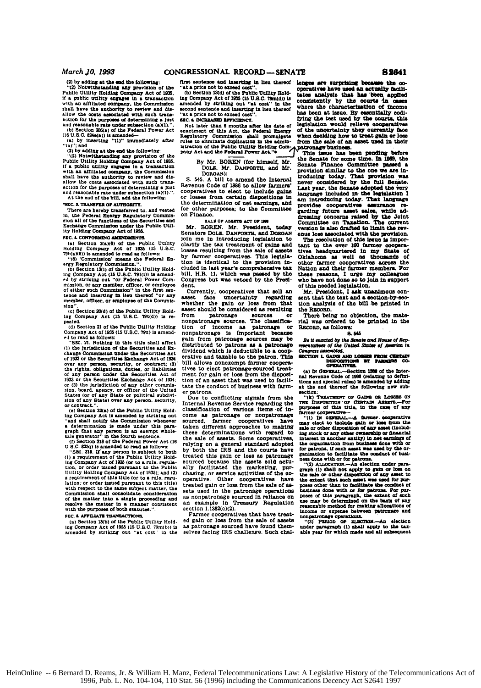(2) **by adding at the end** the following:

"(2) Notwithstanding any provision of the Public Utility Holding Company Act of 1935, if a public utility engages in a transaction with an affiliated company, the Commission shall have the authority to review and discussi action for **the** Purposes of determining **a** just **and** reasonable rate under subsection **laX)).".** At the end **of** the **bill. add** the following:

**SEC. & TRANSFER OF AUTHORITY.** 

**There are** hereby transferred to. **and** vested In. the Federal Energy Regulatory **Commis**sion all of the functions of the Securities and<br>Exchange Commission under the Public Util-<br>ity Holding Company Act of 1935.

sec. 4 Corromatric AMENDEATHE.<br>Head is ested and Police Theory and the Public Utility<br>Holding Company Act of 1938 (15 U.S.C.<br>Torical (6) is annonded to read as follows:<br>"(6) Commission" means the Pederal Energy Regulatory tenc. **and** inserting in **lieu** thereof "or **any** member, officer. or employes **of the Commis- .Ion".**

(c) Section'20(d) of the Public Utility Hold-<br>ing Company Act (15 U.S.C. 79t(d)) is re-**Company Act (15 U.S.C. 79t(d)) is re**pealed.

**(d)** Section 21 of the Public **UUiity** Holding Company **Act of 1936 (15 U.S.C.** 79u) **Is** amend-**el** to read as follows:

**".SEC. 1.** Nothing in **this** title shall affect **(l)** the Jurisdiction of the Securities **and Ex**change Commission under the Securities Act of 1933 or the Securities Exchange Act of 1934 over any person, security, or contract; (2) the rights. Obligations, duties, or liabilities<br>of any person under the Securities Act of<br>**1933** or the Securities Exchange Act of 1934; soo as the decommission of any other commis-<br>
sion, board, agency, or officer of the United<br>
States (or of any State or political subdivi**slon of** any State) over ay pereon. security.

or contract.".<br>(e) Section 32(a) of the Public Utility Hold-**(e** Section **32(a) of** the **Public** Utility **Hold- Ing** Company Act **is amended by** striklug out **"'and shall** notify the **Commission** whenever a determlnatlon is made **under** this **para.** graph hat **any** person to exempt whole-sale generator" **in** the fourth sentence. Mf Section **318 of** the **Federal** Power Act **(16**

US.C. 825q) is amended to read as follows:<br>
"SEC. 318. If any person is subject to both<br>
(1) a requirement of the Public Utility Hold-<br>
ing Company Act of 1935 (or to a rule, regulation, or order issued pursuant to the Public Utility Holding Company Act of 1935); and (2) a requirement of this title (or to a rule, regulation: **or** order issued Prsuant to this **title)** with respect to the same subject matter, the Commission **Shall** cosolildate ooslderaton **of** the matter into a single proceeding **and resolve** *the* **matter** In **a** manner consistent **with** the purposes **of** both statutee.".

**SEC. & APPILIATE TBANISACTIONS** 

**(a)** Section **13(b) of** the Public Utility Hold-**log Company** Act **of 1935 (16 U.S.C.** Irmb)l **is** amended **by** striking **Out "at cost** In he

amended **by** striking out **"at cost"** in the second sentence and inserting in lien thereof "at a price not to exceed cost".<br>**SEC. 4. INCREASED EFFICIENCT.** 

Not later than 8 months after the date of legislation would relieve cooperatives<br>neartment of this Act, the Pedral Energy of the uncertainty they currently face<br>Requisiony Commission ahall promulgate when deciding how to t

or losses from certain dispositions in<br>the determination of net earnings and or losses from certain dispositions in an introducing today. That language<br>the determination of net earnings, and provides cooperatives assurance re-<br>for other purposes; to the Committee garding future asset asis while ad.

Senators Department and **Docephers** of the provision of the provision is also drafted to limit the provision.<br>Senators Dolby and Dorgan and Dorgan and Dorgan associated with the provision.<br>Join me in introducing legislatio join me in introducing legislation to clarify the tax treatment of gains and clarify the tax treatment of gains and tant to the over 100 farmer cooperations resulting from the sale of assets tives headquartered in my State of farmer cooperations. This legisla- Oklahoma as well as thousands ob ent. of this needed legislation.<br>Currently, cooperatives that sell an Mr. President, I ask un

asset face uncertainty regarding sent that the text **and a** section-by-ec-whether the gain or **loss** from that lion analysis of the **bill be** printed in whether the gain or loss from that then analysis of the bill be printed in asset should be considered as resulting the RECORD.<br>Asset should be considered as resulting the RECORD. from patronage sources or There being no objection, the mate-<br>nonpatronage sources. The classifica- rial was ordered to be printed in the Lion of income as patronage or **RsOaD,** as follows: nonpatronage **Is** important **because** a **6a** nonpatronage is important because<br>gain from patronage sources may be Be it eacted by the sea<br>distributed to patrons as a patronage resentatives of the United dividend which **Is** deductible to **a** coop- *Congress* **asseibled.** erative and taxable to the patron. This bill allows nonexempt farmer cooperatives to elect patronage-sourced treat-<br>
(a) IN GENERAL.-Section 1308 of the Inter-<br>
ment for gain or loss from the disposition and Revenue Code of 1999 (relating to definition<br>
tion of an asset that was used to facili-<br>
t tion of an asset that was used to facili-<br>tion of an asset that was used to facili- tions and special rules) is amended by adding<br>tate the conduct of business with farm- at the end thereof the following new subtate the conduct of business with farm-<br>er patrons.<br>Due to conflicting signals from the

classification of various items of in-<br>purposes of this title, in the case of any<br>come as patronage or nonpatronage increme cooperative-<br>sourced, farmer cooperative have may elect to include pain or loss from the<br>taken dif relying on a general standard adopted the organization from business done with ortreated this gain or loss as patronage sourced because the assets sold actuincated units gain or loss as paintums of each one with or for patrons.<br>Hourced because the assets sold actu-<br>heading, or service activities of the co-<br>the marketing, pur-<br>practice activities of the co-<br>the sale or char di sets used in the patronage operations **business** done with or for patrons. For pur as nonpatronage sourced in reliance on an example in Treasury Regulation

ed gain or loss from the sale of assets as patronage sourced have found themselves facing IRS chailenge. Such chal- **able year** for which **made and all** subsequent

first sentence and inserting in lieu thereof lengue are surprising because the oo-"at a price not to exceed cost".<br>
(b) Section 13(3) of the Public Utility Hold . Operatives have used an actually facility<br>
(b) Section 13(3 **"at a** price not to **exceed coat".** *has* been at isue. **By** easentilly **codl-EC.** a **RN4CUAm D'ZFC3Nc.** Wlng the tost used by the courts. this

Act and the Federal Power Act."<sup>8</sup> This issue has been pending before<br>By Mr. BOREN (for himself, Mr. Consection of the Senate for some time. In 1989, the<br>DOLE, Mr. DANFORTH, and Mr. **Bonnet is also also a senate in** DORGAN):<br>
S. 545. A bill to amend the Internal troducing today. That provision was<br>
Revenue Code of 1986 to allow farmers' near considered by the full Senate.<br>
Revenue Code of 1986 to allow farmers' near the senate adopted cooperatives to elect to include gains **language** Included **In,** the **legilation I** for other purposes; to the Committee garding future asset sales, while advantage on Finance.<br>
on Finance.<br>
exact or see and the state on Taxas in the Joint<br>
committee on Taxas in the current of<br>
EXP. Mr. President, today v

by farmer cooperatives. This legisla- Okiahoma as well as thousands of tion is identical to the provision in- other farmer cooperatives across the cluded in last year's comprehensive tax. Nation and their farmer members. F cluded in last **year's** comprehensive tel Nation end **their** farmer members. **For bill, H.R. 11,** which was **passed by** the these reasona. **I uge** my colleagues bill, H.R. 11, which was passed by the these reasons, I urge my colleagues<br>Congress but was vetoed by the Presi- who have not done so to join in support<br>dent.

Mr. President, I ask <u>unanimous</u> con-

non-<br>The class of class of class of class of class of class.<br>The correct of the correct of the correct of the correct of the correct of the correct of the correct of the correct of the correct of the correct of the correct

Be it enacted by the Senate and House of *Representation* of *America* in<br>Congress assembled,<br>SECTION L. GAUNE AND LOGEERS FROM CERTAIN<br>SECTION L. GAUNE AND LOGEERS FROM CERTAIN<br>(a) Patronage *NC* 

Due to conflicting signals from the "(k) **TREATMENT OF GANS OR LOSSES** ON<br>Internal Revenue Service regarding the THE DISPOSITION OF CERTAIN ASSETS.--For

an example in Treasury Regulation use may be determined on the basis of any<br>example in Treasury Regulation use may be determined for making allocations of<br>nonne or strease between retermes ection 1.1382(c)(2).<br>Farmer cooperatives that have treat- income or expense between patromage and<br>Farmer cooperatives that have treat- nonpatromage operations.<br>ed gain or loss from the sale of assets (1) PERIOD OF ELECTION

under paragraph (1) shall apply to the tax-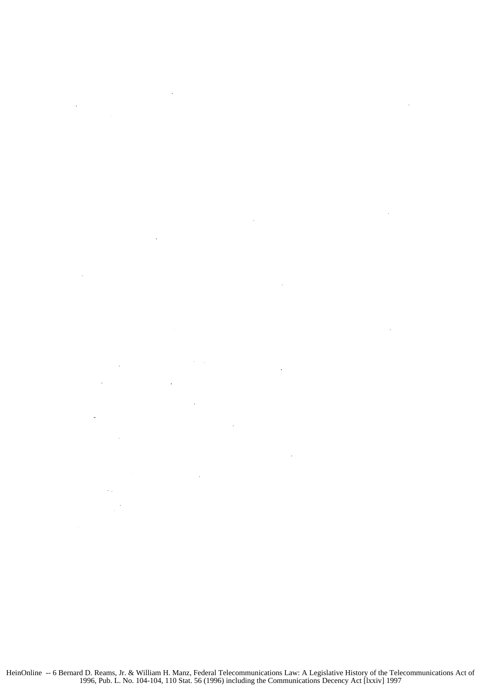$\ddot{\phantom{a}}$  $\bar{z}$  $\mathcal{L}(\mathcal{L})$ 

 $\mathbb{R}^2$ 

 $\ddot{\phantom{a}}$ 

l,

l.  $\hat{\boldsymbol{\beta}}$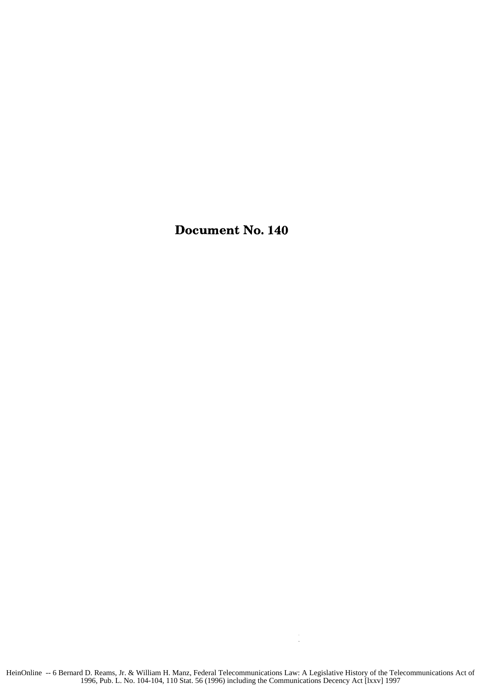Document No. 140

 $\frac{1}{2}$